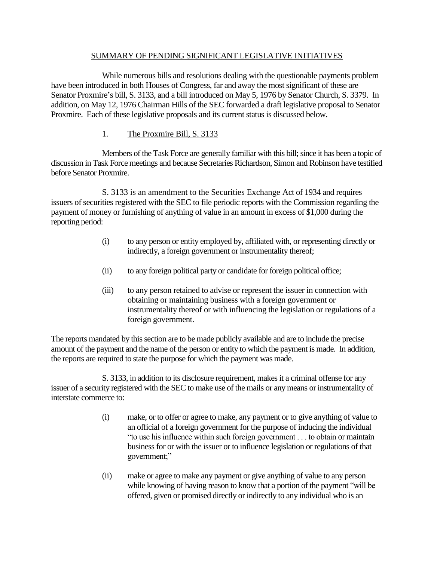#### SUMMARY OF PENDING SIGNIFICANT LEGISLATIVE INITIATIVES

While numerous bills and resolutions dealing with the questionable payments problem have been introduced in both Houses of Congress, far and away the most significant of these are Senator Proxmire's bill, S. 3133, and a bill introduced on May 5, 1976 by Senator Church, S. 3379. In addition, on May 12, 1976 Chairman Hills of the SEC forwarded a draft legislative proposal to Senator Proxmire. Each of these legislative proposals and its current status is discussed below.

1. The Proxmire Bill, S. 3133

Members of the Task Force are generally familiar with this bill; since it has been a topic of discussion in Task Force meetings and because Secretaries Richardson, Simon and Robinson have testified before Senator Proxmire.

S. 3133 is an amendment to the Securities Exchange Act of 1934 and requires issuers of securities registered with the SEC to file periodic reports with the Commission regarding the payment of money or furnishing of anything of value in an amount in excess of \$1,000 during the reporting period:

- (i) to any person or entity employed by, affiliated with, or representing directly or indirectly, a foreign government or instrumentality thereof;
- (ii) to any foreign political party or candidate for foreign political office;
- (iii) to any person retained to advise or represent the issuer in connection with obtaining or maintaining business with a foreign government or instrumentality thereof or with influencing the legislation or regulations of a foreign government.

The reports mandated by this section are to be made publicly available and are to include the precise amount of the payment and the name of the person or entity to which the payment is made. In addition, the reports are required to state the purpose for which the payment was made.

S. 3133, in addition to its disclosure requirement, makes it a criminal offense for any issuer of a security registered with the SEC to make use of the mails or any means or instrumentality of interstate commerce to:

- (i) make, or to offer or agree to make, any payment or to give anything of value to an official of a foreign government for the purpose of inducing the individual "to use his influence within such foreign government . . . to obtain or maintain business for or with the issuer or to influence legislation or regulations of that government;"
- (ii) make or agree to make any payment or give anything of value to any person while knowing of having reason to know that a portion of the payment "will be offered, given or promised directly or indirectly to any individual who is an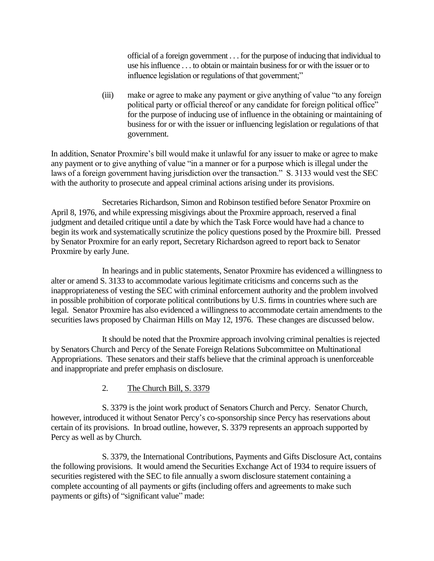official of a foreign government . . . for the purpose of inducing that individual to use his influence . . . to obtain or maintain business for or with the issuer or to influence legislation or regulations of that government;"

(iii) make or agree to make any payment or give anything of value "to any foreign political party or official thereof or any candidate for foreign political office" for the purpose of inducing use of influence in the obtaining or maintaining of business for or with the issuer or influencing legislation or regulations of that government.

In addition, Senator Proxmire's bill would make it unlawful for any issuer to make or agree to make any payment or to give anything of value "in a manner or for a purpose which is illegal under the laws of a foreign government having jurisdiction over the transaction." S. 3133 would vest the SEC with the authority to prosecute and appeal criminal actions arising under its provisions.

Secretaries Richardson, Simon and Robinson testified before Senator Proxmire on April 8, 1976, and while expressing misgivings about the Proxmire approach, reserved a final judgment and detailed critique until a date by which the Task Force would have had a chance to begin its work and systematically scrutinize the policy questions posed by the Proxmire bill. Pressed by Senator Proxmire for an early report, Secretary Richardson agreed to report back to Senator Proxmire by early June.

In hearings and in public statements, Senator Proxmire has evidenced a willingness to alter or amend S. 3133 to accommodate various legitimate criticisms and concerns such as the inappropriateness of vesting the SEC with criminal enforcement authority and the problem involved in possible prohibition of corporate political contributions by U.S. firms in countries where such are legal. Senator Proxmire has also evidenced a willingness to accommodate certain amendments to the securities laws proposed by Chairman Hills on May 12, 1976. These changes are discussed below.

It should be noted that the Proxmire approach involving criminal penalties is rejected by Senators Church and Percy of the Senate Foreign Relations Subcommittee on Multinational Appropriations. These senators and their staffs believe that the criminal approach is unenforceable and inappropriate and prefer emphasis on disclosure.

## 2. The Church Bill, S. 3379

S. 3379 is the joint work product of Senators Church and Percy. Senator Church, however, introduced it without Senator Percy's co-sponsorship since Percy has reservations about certain of its provisions. In broad outline, however, S. 3379 represents an approach supported by Percy as well as by Church.

S. 3379, the International Contributions, Payments and Gifts Disclosure Act, contains the following provisions. It would amend the Securities Exchange Act of 1934 to require issuers of securities registered with the SEC to file annually a sworn disclosure statement containing a complete accounting of all payments or gifts (including offers and agreements to make such payments or gifts) of "significant value" made: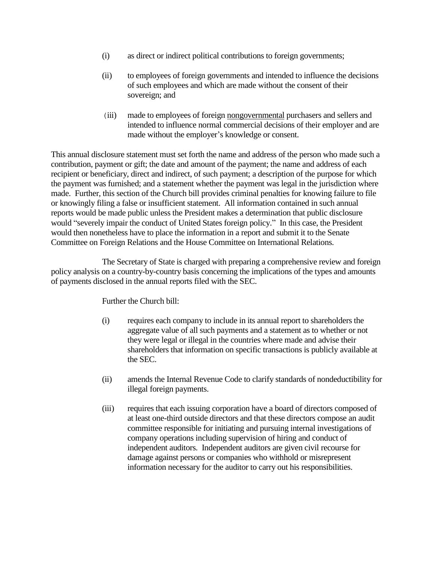- (i) as direct or indirect political contributions to foreign governments;
- (ii) to employees of foreign governments and intended to influence the decisions of such employees and which are made without the consent of their sovereign; and
- (iii) made to employees of foreign nongovernmental purchasers and sellers and intended to influence normal commercial decisions of their employer and are made without the employer's knowledge or consent.

This annual disclosure statement must set forth the name and address of the person who made such a contribution, payment or gift; the date and amount of the payment; the name and address of each recipient or beneficiary, direct and indirect, of such payment; a description of the purpose for which the payment was furnished; and a statement whether the payment was legal in the jurisdiction where made. Further, this section of the Church bill provides criminal penalties for knowing failure to file or knowingly filing a false or insufficient statement. All information contained in such annual reports would be made public unless the President makes a determination that public disclosure would "severely impair the conduct of United States foreign policy." In this case, the President would then nonetheless have to place the information in a report and submit it to the Senate Committee on Foreign Relations and the House Committee on International Relations.

The Secretary of State is charged with preparing a comprehensive review and foreign policy analysis on a country-by-country basis concerning the implications of the types and amounts of payments disclosed in the annual reports filed with the SEC.

Further the Church bill:

- (i) requires each company to include in its annual report to shareholders the aggregate value of all such payments and a statement as to whether or not they were legal or illegal in the countries where made and advise their shareholders that information on specific transactions is publicly available at the SEC.
- (ii) amends the Internal Revenue Code to clarify standards of nondeductibility for illegal foreign payments.
- (iii) requires that each issuing corporation have a board of directors composed of at least one-third outside directors and that these directors compose an audit committee responsible for initiating and pursuing internal investigations of company operations including supervision of hiring and conduct of independent auditors. Independent auditors are given civil recourse for damage against persons or companies who withhold or misrepresent information necessary for the auditor to carry out his responsibilities.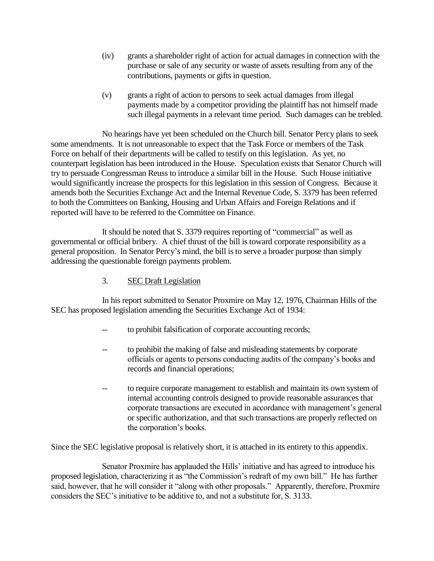- (iv) grants a shareholder right of action for actual damages in connection with the purchase or sale of any security or waste of assets resulting from any of the contributions, payments or gifts in question.
- (v) grants a right of action to persons to seek actual damages from illegal payments made by a competitor providing the plaintiff has not himself made such illegal payments in a relevant time period. Such damages can be trebled.

No hearings have yet been scheduled on the Church bill. Senator Percy plans to seek some amendments. It is not unreasonable to expect that the Task Force or members of the Task Force on behalf of their departments will be called to testify on this legislation. As yet, no counterpart legislation has been introduced in the House. Speculation exists that Senator Church will try to persuade Congressman Reuss to introduce a similar bill in the House. Such House initiative would significantly increase the prospects for this legislation in this session of Congress. Because it amends both the Securities Exchange Act and the Internal Revenue Code, S. 3379 has been referred to both the Committees on Banking, Housing and Urban Affairs and Foreign Relations and if reported will have to be referred to the Committee on Finance.

It should be noted that S. 3379 requires reporting of "commercial" as well as governmental or official bribery. A chief thrust of the bill is toward corporate responsibility as a general proposition. In Senator Percy's mind, the bill is to serve a broader purpose than simply addressing the questionable foreign payments problem.

# 3. SEC Draft Legislation

In his report submitted to Senator Proxmire on May 12, 1976, Chairman Hills of the SEC has proposed legislation amending the Securities Exchange Act of 1934:

- to prohibit falsification of corporate accounting records;
- to prohibit the making of false and misleading statements by corporate officials or agents to persons conducting audits of the company's books and records and financial operations;
- to require corporate management to establish and maintain its own system of internal accounting controls designed to provide reasonable assurances that corporate transactions are executed in accordance with management's general or specific authorization, and that such transactions are properly reflected on the corporation's books.

Since the SEC legislative proposal is relatively short, it is attached in its entirety to this appendix.

Senator Proxmire has applauded the Hills' initiative and has agreed to introduce his proposed legislation, characterizing it as "the Commission's redraft of my own bill." He has further said, however, that he will consider it "along with other proposals." Apparently, therefore, Proxmire considers the SEC's initiative to be additive to, and not a substitute for, S. 3133.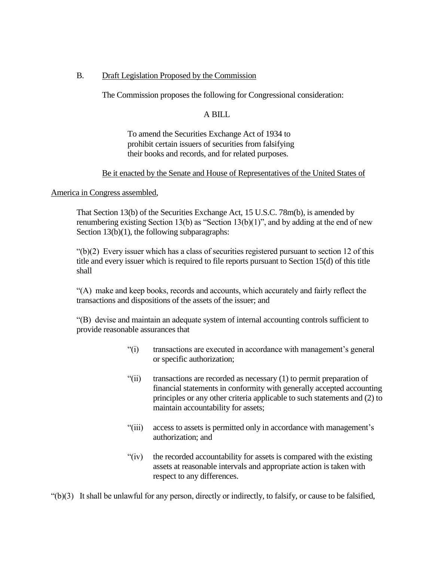## B. Draft Legislation Proposed by the Commission

The Commission proposes the following for Congressional consideration:

## A BILL

To amend the Securities Exchange Act of 1934 to prohibit certain issuers of securities from falsifying their books and records, and for related purposes.

## Be it enacted by the Senate and House of Representatives of the United States of

#### America in Congress assembled,

That Section 13(b) of the Securities Exchange Act, 15 U.S.C. 78m(b), is amended by renumbering existing Section 13(b) as "Section 13(b)(1)", and by adding at the end of new Section 13(b)(1), the following subparagraphs:

 $\degree$ (b)(2) Every issuer which has a class of securities registered pursuant to section 12 of this title and every issuer which is required to file reports pursuant to Section 15(d) of this title shall

"(A) make and keep books, records and accounts, which accurately and fairly reflect the transactions and dispositions of the assets of the issuer; and

"(B) devise and maintain an adequate system of internal accounting controls sufficient to provide reasonable assurances that

- "(i) transactions are executed in accordance with management's general or specific authorization;
- "(ii) transactions are recorded as necessary (1) to permit preparation of financial statements in conformity with generally accepted accounting principles or any other criteria applicable to such statements and (2) to maintain accountability for assets;
- "(iii) access to assets is permitted only in accordance with management's authorization; and
- "(iv) the recorded accountability for assets is compared with the existing assets at reasonable intervals and appropriate action is taken with respect to any differences.

 $'(b)(3)$  It shall be unlawful for any person, directly or indirectly, to falsify, or cause to be falsified,